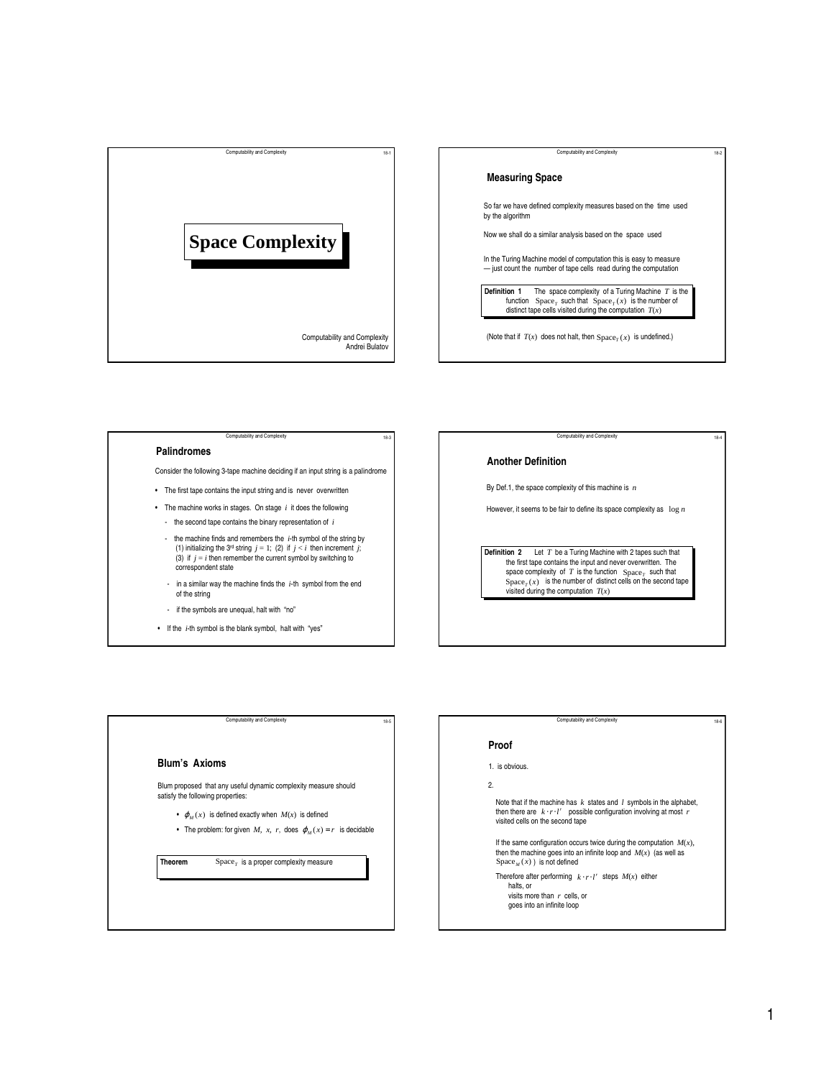



# Computability and Complexity

**Palindromes**

- Consider the following 3-tape machine deciding if an input string is a palindrome
- The first tape contains the input string and is never overwritten
- The machine works in stages. On stage *i* it does the following
	- the second tape contains the binary representation of *i*
	- the machine finds and remembers the *i*-th symbol of the string by (1) initializing the 3<sup>rd</sup> string  $j = 1$ ; (2) if  $j < i$  then increment  $j$ ; (3) if  $j = i$  then remember the current symbol by switching to correspondent state
	- in a similar way the machine finds the *i*-th symbol from the end of the string
	- if the symbols are unequal, halt with "no"
- If the *i*-th symbol is the blank symbol, halt with "yes"

## **Another Definition**

By Def.1, the space complexity of this machine is *n*

However, it seems to be fair to define its space complexity as log *n*

Computability and Complexity

**Definition 2** Let *T* be a Turing Machine with 2 tapes such that the first tape contains the input and never overwritten. The space complexity of  $T$  is the function  $Space_T$  such that  $Space<sub>T</sub>(x)$  is the number of distinct cells on the second tape visited during the computation *T*(*x*)



### **Proof**

1. is obvious.

2.

Note that if the machine has *k* states and *l* symbols in the alphabet, then there are  $k \cdot r \cdot l^r$  possible configuration involving at most *r* visited cells on the second tape

Computability and Complexity

If the same configuration occurs twice during the computation  $M(x)$ , then the machine goes into an infinite loop and  $M(x)$  (as well as  $Space<sub>M</sub>(x)$  ) is not defined

Therefore after performing  $k \cdot r \cdot l^r$  steps  $M(x)$  either

 halts, or visits more than *r* cells, or

goes into an infinite loop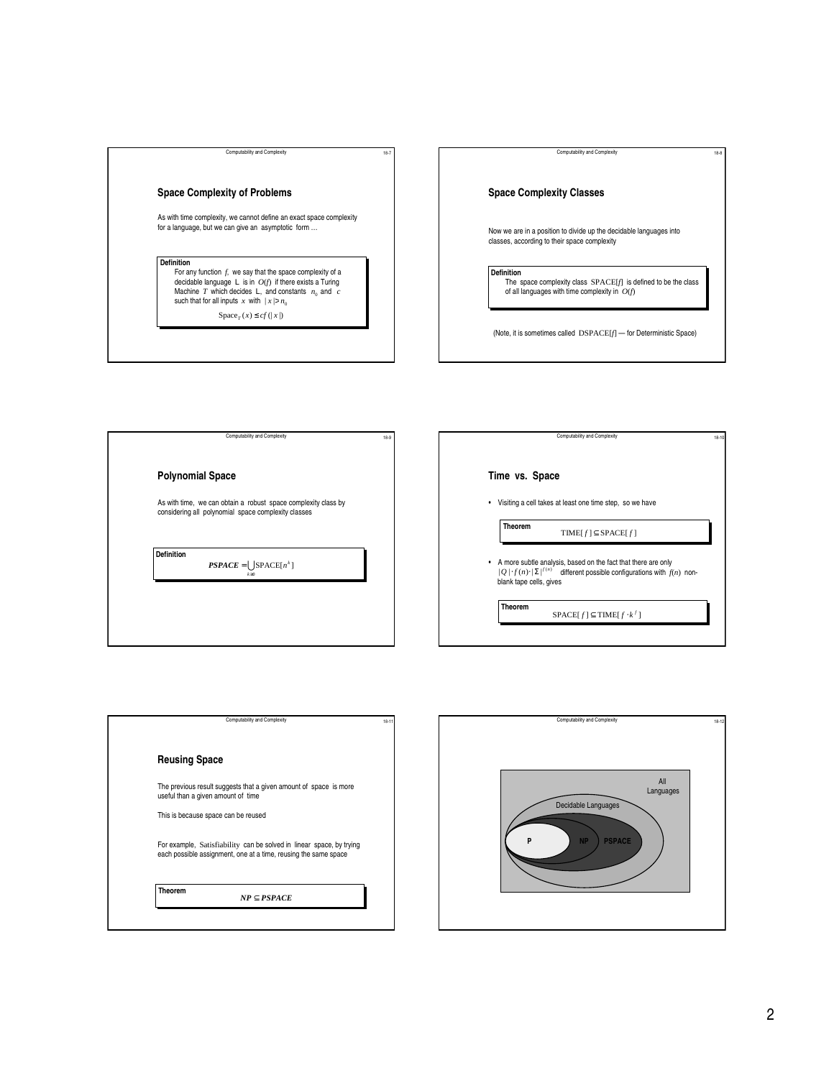# **Space Complexity of Problems**

As with time complexity, we cannot define an exact space complexity for a language, but we can give an asymptotic form …

Computability and Complexity 18-7

## **Definition**

For any function  $f_i$  we say that the space complexity of a decidable language L is in  $O(f)$  if there exists a Turing Machine T which decides L, and constants  $n_0$  and c such that for all inputs x with  $|x > n_0$ 

 $Space_{T}(x) \leq cf(|x|)$ 

**Space Complexity Classes** Now we are in a position to divide up the decidable languages into classes, according to their space complexity **Definition** The space complexity class SPACE[*f*] is defined to be the class of all languages with time complexity in  $O(f)$ (Note, it is sometimes called DSPACE[*f*] — for Deterministic Space)

Computability and Complexity 18-8

Computability and Complexity 18-10

Computability and Complexity **Definition**  $PSPACE = \bigcup$ SPACE $[n^k]$  $\mathbf{0}$ ≥ *k* **Polynomial Space** As with time, we can obtain a robust space complexity class by considering all polynomial space complexity classes

| ٠                       | Visiting a cell takes at least one time step, so we have                                                                                                     |
|-------------------------|--------------------------------------------------------------------------------------------------------------------------------------------------------------|
| <b>Theorem</b>          | TIME[ $f$ ] $\subset$ SPACE[ $f$ ]                                                                                                                           |
| blank tape cells, gives | • A more subtle analysis, based on the fact that there are only<br>$ O  \cdot f(n) \cdot  \Sigma ^{f(n)}$ different possible configurations with $f(n)$ non- |



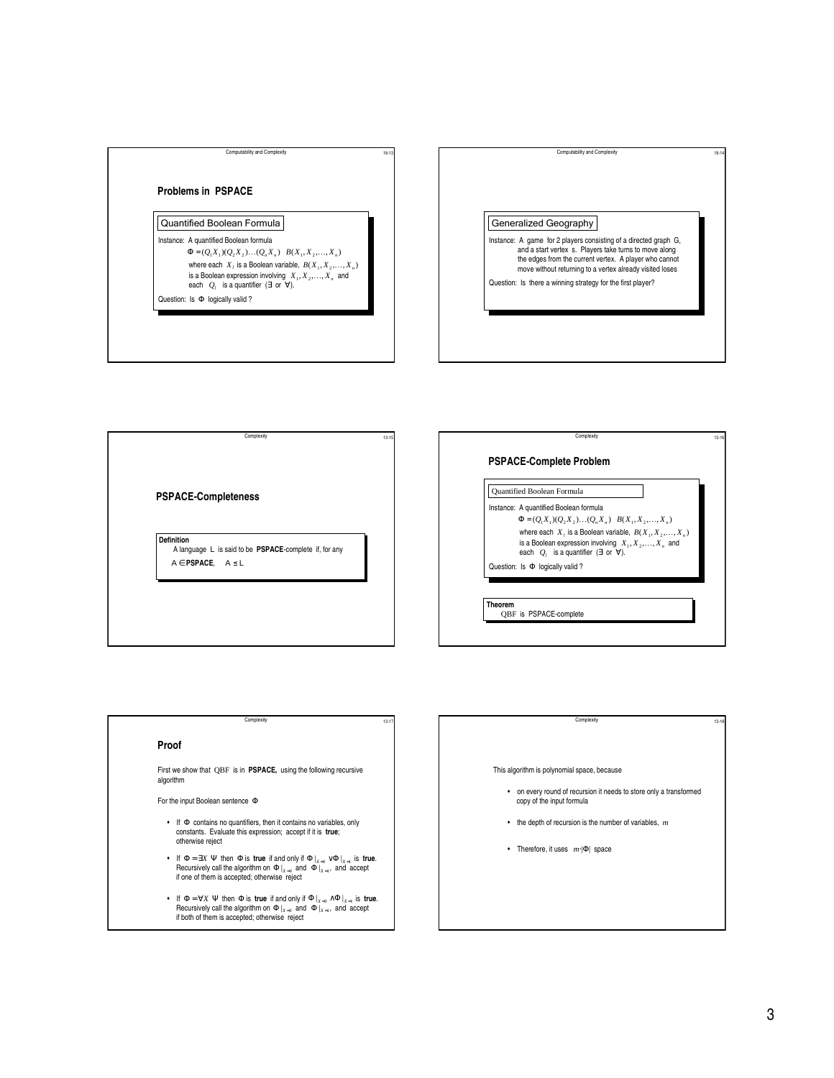

| Computability and Complexity                                     |
|------------------------------------------------------------------|
|                                                                  |
|                                                                  |
|                                                                  |
|                                                                  |
|                                                                  |
| Generalized Geography                                            |
|                                                                  |
| Instance: A game for 2 players consisting of a directed graph G, |
| and a start vertex s. Players take turns to move along           |
| the edges from the current vertex. A player who cannot           |
| move without returning to a vertex already visited loses         |
| Question: Is there a winning strategy for the first player?      |
|                                                                  |
|                                                                  |
|                                                                  |
|                                                                  |
|                                                                  |
|                                                                  |
|                                                                  |

**PSPACE-Completeness**

**Definition** A language L is said to be **PSPACE**-complete if, for any  $A \in PSPACE$ ,  $A \leq L$ 

Complexity

# **PSPACE-Complete Problem**

Instance: A quantified Boolean formula Quantified Boolean Formula

where each  $X_i$  is a Boolean variable,  $B(X_1, X_2, \ldots, X_n)$ is a Boolean expression involving  $X_1, X_2, \ldots, X_n$  and each  $Q_i$  is a quantifier (∃ or ∀).  $\Phi = ( Q_1 X_1 ) ( Q_2 X_2 ) \ldots ( Q_n X_n - B( X_1, X_2 , \ldots , X_n )$ 

Complexity

Question: Is Φ logically valid ?

**Theorem** QBF is PSPACE-complete

### **Proof**

First we show that QBF is in **PSPACE,** using the following recursive algorithm

Complexity

For the input Boolean sentence Φ

- If Φ contains no quantifiers, then it contains no variables, only constants. Evaluate this expression; accept if it is **true**; otherwise reject
- If  $\Phi = \exists X \ \Psi$  then  $\Phi$  is **true** if and only if  $\Phi|_{X=0} \sim \Phi|_{X=1}$  is **true.**<br> Recursively call the algorithm on  $\Phi|_{X=0}$  and  $\Phi|_{X=1}$ , and accept if one of them is accepted; otherwise reject and only if  $\Phi|_{X=0} \vee \Phi|_{X=1}$ <br> $\Phi|_{X=0}$  and  $\Phi|_{X=1}$ , and a
- If  $\Phi = \forall X \ \Psi$  then  $\Phi$  is **true** if and only if  $\Phi|_{X=0} \wedge \Phi|_{X=1}$  is **true.**<br>Recursively call the algorithm on  $\Phi|_{X=0}$  and  $\Phi|_{X=1}$ , and accept if both of them is accepted; otherwise reject  $\left\{\begin{array}{c} \Phi\big|_{x=0} \wedge \Phi\big|_{x=1} \ \Phi\big|_{x=0} \text{ and } \Phi\big|_{x=1}, \text{ and } \Phi\big|_{x=1} \end{array}\right.$

### Complexity

This algorithm is polynomial space, because

- on every round of recursion it needs to store only a transformed copy of the input formula
- the depth of recursion is the number of variables, *m*
- Therefore, it uses *m*⋅|Φ| space